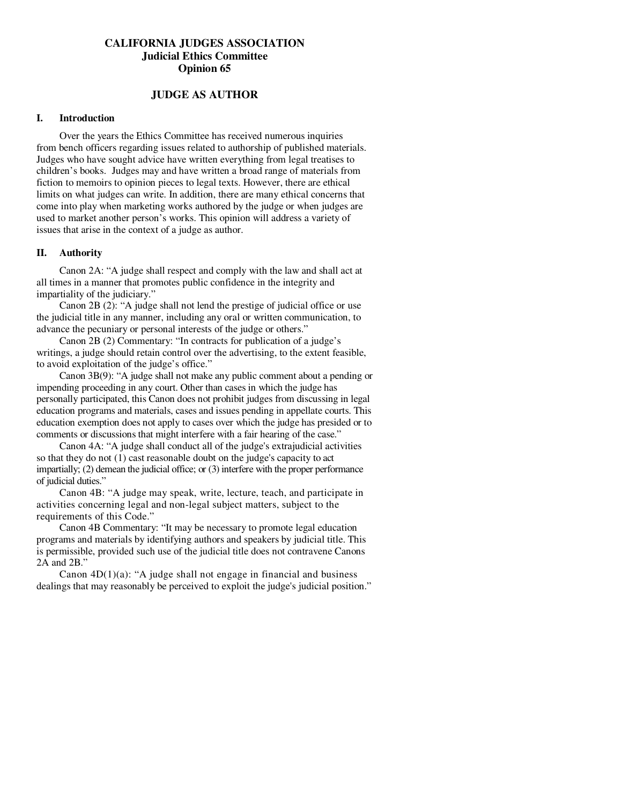# **CALIFORNIA JUDGES ASSOCIATION Judicial Ethics Committee Opinion 65**

## **JUDGE AS AUTHOR**

### **I. Introduction**

 Over the years the Ethics Committee has received numerous inquiries from bench officers regarding issues related to authorship of published materials. Judges who have sought advice have written everything from legal treatises to children's books. Judges may and have written a broad range of materials from fiction to memoirs to opinion pieces to legal texts. However, there are ethical limits on what judges can write. In addition, there are many ethical concerns that come into play when marketing works authored by the judge or when judges are used to market another person's works. This opinion will address a variety of issues that arise in the context of a judge as author.

#### **II. Authority**

Canon 2A: "A judge shall respect and comply with the law and shall act at all times in a manner that promotes public confidence in the integrity and impartiality of the judiciary."

 Canon 2B (2): "A judge shall not lend the prestige of judicial office or use the judicial title in any manner, including any oral or written communication, to advance the pecuniary or personal interests of the judge or others."

 Canon 2B (2) Commentary: "In contracts for publication of a judge's writings, a judge should retain control over the advertising, to the extent feasible, to avoid exploitation of the judge's office."

 Canon 3B(9): "A judge shall not make any public comment about a pending or impending proceeding in any court. Other than cases in which the judge has personally participated, this Canon does not prohibit judges from discussing in legal education programs and materials, cases and issues pending in appellate courts. This education exemption does not apply to cases over which the judge has presided or to comments or discussions that might interfere with a fair hearing of the case."

 Canon 4A: "A judge shall conduct all of the judge's extrajudicial activities so that they do not (1) cast reasonable doubt on the judge's capacity to act impartially; (2) demean the judicial office; or (3) interfere with the proper performance of judicial duties."

 Canon 4B: "A judge may speak, write, lecture, teach, and participate in activities concerning legal and non-legal subject matters, subject to the requirements of this Code."

 Canon 4B Commentary: "It may be necessary to promote legal education programs and materials by identifying authors and speakers by judicial title. This is permissible, provided such use of the judicial title does not contravene Canons 2A and 2B."

Canon  $4D(1)(a)$ : "A judge shall not engage in financial and business dealings that may reasonably be perceived to exploit the judge's judicial position."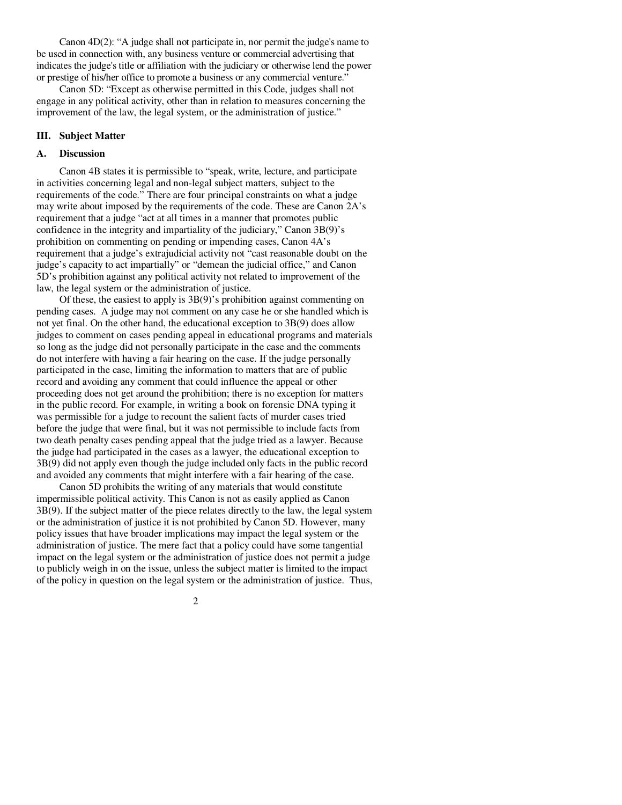Canon 4D(2): "A judge shall not participate in, nor permit the judge's name to be used in connection with, any business venture or commercial advertising that indicates the judge's title or affiliation with the judiciary or otherwise lend the power or prestige of his/her office to promote a business or any commercial venture."

 Canon 5D: "Except as otherwise permitted in this Code, judges shall not engage in any political activity, other than in relation to measures concerning the improvement of the law, the legal system, or the administration of justice."

### **III. Subject Matter**

### **A. Discussion**

Canon 4B states it is permissible to "speak, write, lecture, and participate in activities concerning legal and non-legal subject matters, subject to the requirements of the code." There are four principal constraints on what a judge may write about imposed by the requirements of the code. These are Canon 2A's requirement that a judge "act at all times in a manner that promotes public confidence in the integrity and impartiality of the judiciary," Canon 3B(9)'s prohibition on commenting on pending or impending cases, Canon 4A's requirement that a judge's extrajudicial activity not "cast reasonable doubt on the judge's capacity to act impartially" or "demean the judicial office," and Canon 5D's prohibition against any political activity not related to improvement of the law, the legal system or the administration of justice.

 Of these, the easiest to apply is 3B(9)'s prohibition against commenting on pending cases. A judge may not comment on any case he or she handled which is not yet final. On the other hand, the educational exception to 3B(9) does allow judges to comment on cases pending appeal in educational programs and materials so long as the judge did not personally participate in the case and the comments do not interfere with having a fair hearing on the case. If the judge personally participated in the case, limiting the information to matters that are of public record and avoiding any comment that could influence the appeal or other proceeding does not get around the prohibition; there is no exception for matters in the public record. For example, in writing a book on forensic DNA typing it was permissible for a judge to recount the salient facts of murder cases tried before the judge that were final, but it was not permissible to include facts from two death penalty cases pending appeal that the judge tried as a lawyer. Because the judge had participated in the cases as a lawyer, the educational exception to 3B(9) did not apply even though the judge included only facts in the public record and avoided any comments that might interfere with a fair hearing of the case.

 Canon 5D prohibits the writing of any materials that would constitute impermissible political activity. This Canon is not as easily applied as Canon 3B(9). If the subject matter of the piece relates directly to the law, the legal system or the administration of justice it is not prohibited by Canon 5D. However, many policy issues that have broader implications may impact the legal system or the administration of justice. The mere fact that a policy could have some tangential impact on the legal system or the administration of justice does not permit a judge to publicly weigh in on the issue, unless the subject matter is limited to the impact of the policy in question on the legal system or the administration of justice. Thus,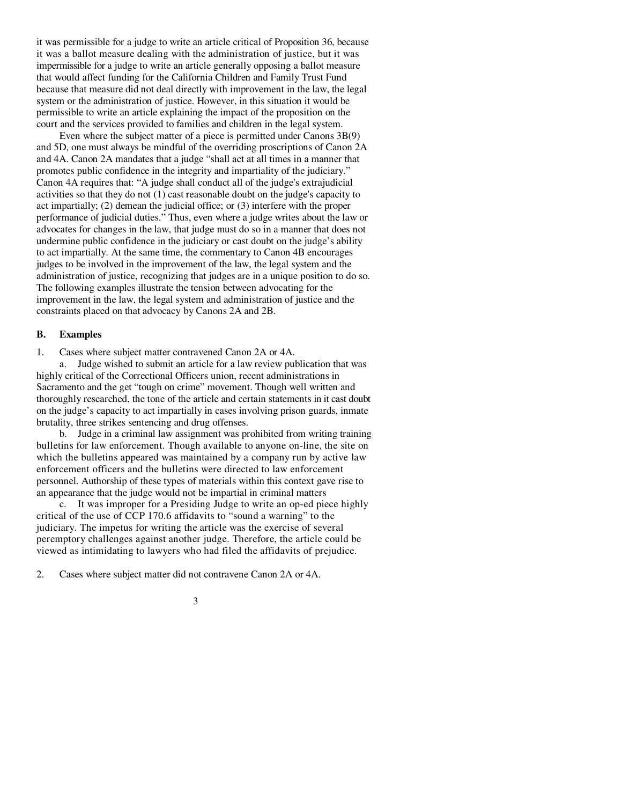it was permissible for a judge to write an article critical of Proposition 36, because it was a ballot measure dealing with the administration of justice, but it was impermissible for a judge to write an article generally opposing a ballot measure that would affect funding for the California Children and Family Trust Fund because that measure did not deal directly with improvement in the law, the legal system or the administration of justice. However, in this situation it would be permissible to write an article explaining the impact of the proposition on the court and the services provided to families and children in the legal system.

 Even where the subject matter of a piece is permitted under Canons 3B(9) and 5D, one must always be mindful of the overriding proscriptions of Canon 2A and 4A. Canon 2A mandates that a judge "shall act at all times in a manner that promotes public confidence in the integrity and impartiality of the judiciary." Canon 4A requires that: "A judge shall conduct all of the judge's extrajudicial activities so that they do not (1) cast reasonable doubt on the judge's capacity to act impartially; (2) demean the judicial office; or (3) interfere with the proper performance of judicial duties." Thus, even where a judge writes about the law or advocates for changes in the law, that judge must do so in a manner that does not undermine public confidence in the judiciary or cast doubt on the judge's ability to act impartially. At the same time, the commentary to Canon 4B encourages judges to be involved in the improvement of the law, the legal system and the administration of justice, recognizing that judges are in a unique position to do so. The following examples illustrate the tension between advocating for the improvement in the law, the legal system and administration of justice and the constraints placed on that advocacy by Canons 2A and 2B.

### **B. Examples**

1. Cases where subject matter contravened Canon 2A or 4A.

 a. Judge wished to submit an article for a law review publication that was highly critical of the Correctional Officers union, recent administrations in Sacramento and the get "tough on crime" movement. Though well written and thoroughly researched, the tone of the article and certain statements in it cast doubt on the judge's capacity to act impartially in cases involving prison guards, inmate brutality, three strikes sentencing and drug offenses.

 b. Judge in a criminal law assignment was prohibited from writing training bulletins for law enforcement. Though available to anyone on-line, the site on which the bulletins appeared was maintained by a company run by active law enforcement officers and the bulletins were directed to law enforcement personnel. Authorship of these types of materials within this context gave rise to an appearance that the judge would not be impartial in criminal matters

 c. It was improper for a Presiding Judge to write an op-ed piece highly critical of the use of CCP 170.6 affidavits to "sound a warning" to the judiciary. The impetus for writing the article was the exercise of several peremptory challenges against another judge. Therefore, the article could be viewed as intimidating to lawyers who had filed the affidavits of prejudice.

2. Cases where subject matter did not contravene Canon 2A or 4A.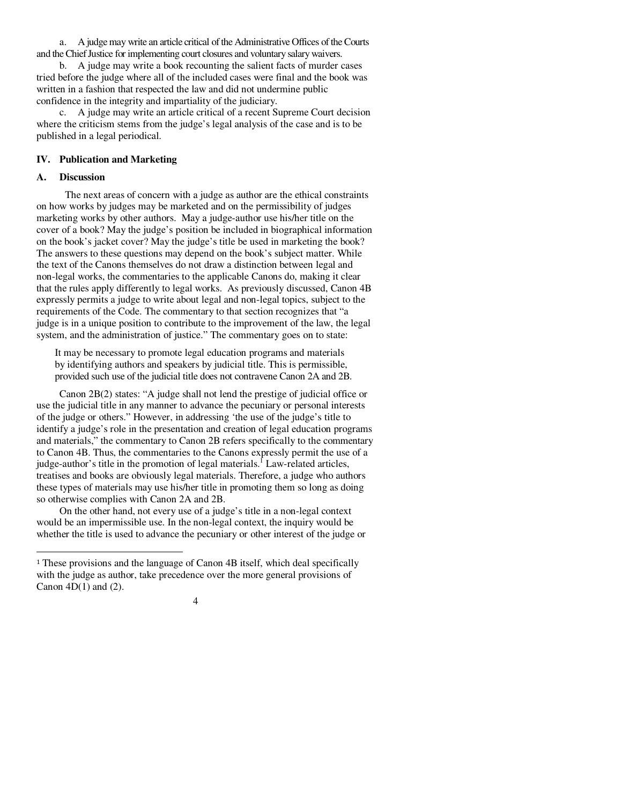a. A judge may write an article critical of the Administrative Offices of the Courts and the Chief Justice for implementing court closures and voluntary salary waivers.

 b. A judge may write a book recounting the salient facts of murder cases tried before the judge where all of the included cases were final and the book was written in a fashion that respected the law and did not undermine public confidence in the integrity and impartiality of the judiciary.

 c. A judge may write an article critical of a recent Supreme Court decision where the criticism stems from the judge's legal analysis of the case and is to be published in a legal periodical.

### **IV. Publication and Marketing**

#### **A. Discussion**

 $\overline{a}$ 

The next areas of concern with a judge as author are the ethical constraints on how works by judges may be marketed and on the permissibility of judges marketing works by other authors. May a judge-author use his/her title on the cover of a book? May the judge's position be included in biographical information on the book's jacket cover? May the judge's title be used in marketing the book? The answers to these questions may depend on the book's subject matter. While the text of the Canons themselves do not draw a distinction between legal and non-legal works, the commentaries to the applicable Canons do, making it clear that the rules apply differently to legal works. As previously discussed, Canon 4B expressly permits a judge to write about legal and non-legal topics, subject to the requirements of the Code. The commentary to that section recognizes that "a judge is in a unique position to contribute to the improvement of the law, the legal system, and the administration of justice." The commentary goes on to state:

 It may be necessary to promote legal education programs and materials by identifying authors and speakers by judicial title. This is permissible, provided such use of the judicial title does not contravene Canon 2A and 2B.

 Canon 2B(2) states: "A judge shall not lend the prestige of judicial office or use the judicial title in any manner to advance the pecuniary or personal interests of the judge or others." However, in addressing 'the use of the judge's title to identify a judge's role in the presentation and creation of legal education programs and materials," the commentary to Canon 2B refers specifically to the commentary to Canon 4B. Thus, the commentaries to the Canons expressly permit the use of a judge-author's title in the promotion of legal materials.<sup>1</sup> Law-related articles, treatises and books are obviously legal materials. Therefore, a judge who authors these types of materials may use his/her title in promoting them so long as doing so otherwise complies with Canon 2A and 2B.

 On the other hand, not every use of a judge's title in a non-legal context would be an impermissible use. In the non-legal context, the inquiry would be whether the title is used to advance the pecuniary or other interest of the judge or

<sup>1</sup> These provisions and the language of Canon 4B itself, which deal specifically with the judge as author, take precedence over the more general provisions of Canon  $4D(1)$  and  $(2)$ .

<sup>4</sup>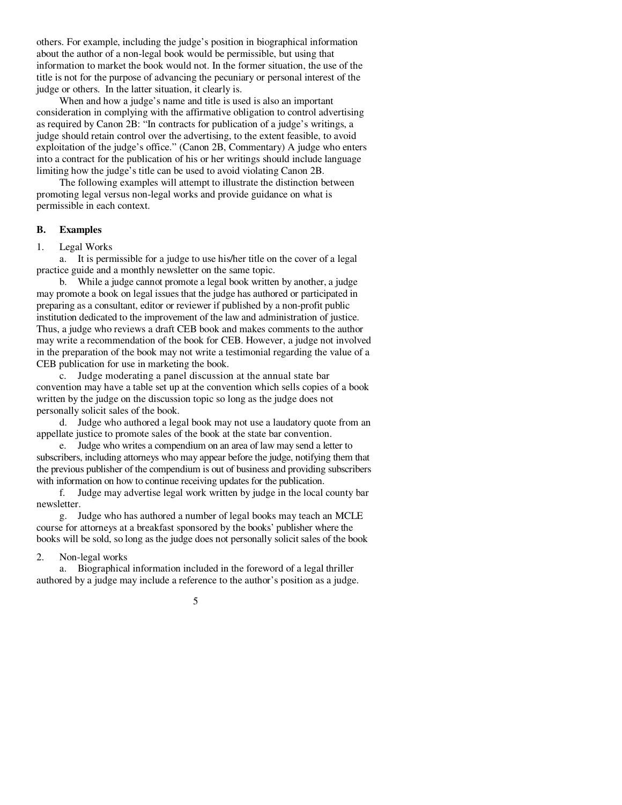others. For example, including the judge's position in biographical information about the author of a non-legal book would be permissible, but using that information to market the book would not. In the former situation, the use of the title is not for the purpose of advancing the pecuniary or personal interest of the judge or others. In the latter situation, it clearly is.

 When and how a judge's name and title is used is also an important consideration in complying with the affirmative obligation to control advertising as required by Canon 2B: "In contracts for publication of a judge's writings, a judge should retain control over the advertising, to the extent feasible, to avoid exploitation of the judge's office." (Canon 2B, Commentary) A judge who enters into a contract for the publication of his or her writings should include language limiting how the judge's title can be used to avoid violating Canon 2B.

 The following examples will attempt to illustrate the distinction between promoting legal versus non-legal works and provide guidance on what is permissible in each context.

### **B. Examples**

#### 1. Legal Works

 a. It is permissible for a judge to use his/her title on the cover of a legal practice guide and a monthly newsletter on the same topic.

 b. While a judge cannot promote a legal book written by another, a judge may promote a book on legal issues that the judge has authored or participated in preparing as a consultant, editor or reviewer if published by a non-profit public institution dedicated to the improvement of the law and administration of justice. Thus, a judge who reviews a draft CEB book and makes comments to the author may write a recommendation of the book for CEB. However, a judge not involved in the preparation of the book may not write a testimonial regarding the value of a CEB publication for use in marketing the book.

 c. Judge moderating a panel discussion at the annual state bar convention may have a table set up at the convention which sells copies of a book written by the judge on the discussion topic so long as the judge does not personally solicit sales of the book.

 d. Judge who authored a legal book may not use a laudatory quote from an appellate justice to promote sales of the book at the state bar convention.

 e. Judge who writes a compendium on an area of law may send a letter to subscribers, including attorneys who may appear before the judge, notifying them that the previous publisher of the compendium is out of business and providing subscribers with information on how to continue receiving updates for the publication.

 f. Judge may advertise legal work written by judge in the local county bar newsletter.

 g. Judge who has authored a number of legal books may teach an MCLE course for attorneys at a breakfast sponsored by the books' publisher where the books will be sold, so long as the judge does not personally solicit sales of the book

### 2. Non-legal works

 a. Biographical information included in the foreword of a legal thriller authored by a judge may include a reference to the author's position as a judge.